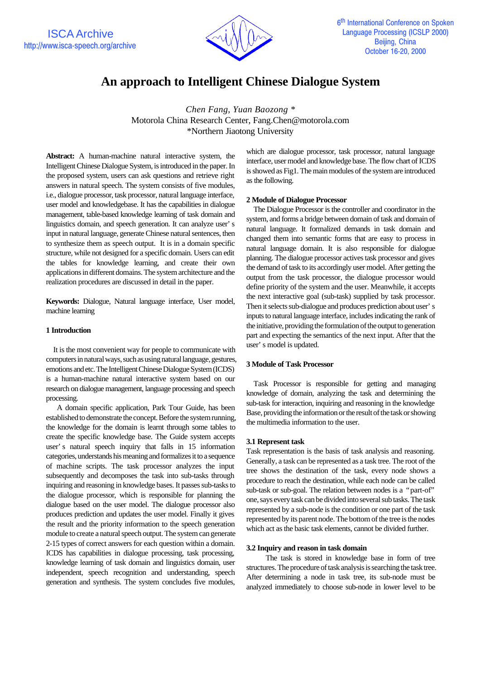

# **An approach to Intelligent Chinese Dialogue System**

*Chen Fang, Yuan Baozong \** Motorola China Research Center, Fang.Chen@motorola.com \*Northern Jiaotong University

**Abstract:** A human-machine natural interactive system, the Intelligent Chinese Dialogue System, is introduced in the paper. In the proposed system, users can ask questions and retrieve right answers in natural speech. The system consists of five modules, i.e., dialogue processor, task processor, natural language interface, user model and knowledgebase. It has the capabilities in dialogue management, table-based knowledge learning of task domain and linguistics domain, and speech generation. It can analyze user's input in natural language, generate Chinese natural sentences, then to synthesize them as speech output. It is in a domain specific structure, while not designed for a specific domain. Users can edit the tables for knowledge learning, and create their own applications in different domains. The system architecture and the realization procedures are discussed in detail in the paper.

**Keywords:** Dialogue, Natural language interface, User model, machine learning

# **1 Introduction**

 It is the most convenient way for people to communicate with computers in natural ways, such as using natural language, gestures, emotions and etc. The Intelligent Chinese Dialogue System (ICDS) is a human-machine natural interactive system based on our research on dialogue management, language processing and speech processing.

 A domain specific application, Park Tour Guide, has been established to demonstrate the concept. Before the system running, the knowledge for the domain is learnt through some tables to create the specific knowledge base. The Guide system accepts user's natural speech inquiry that falls in 15 information categories, understands his meaning and formalizes it to a sequence of machine scripts. The task processor analyzes the input subsequently and decomposes the task into sub-tasks through inquiring and reasoning in knowledge bases. It passes sub-tasks to the dialogue processor, which is responsible for planning the dialogue based on the user model. The dialogue processor also produces prediction and updates the user model. Finally it gives the result and the priority information to the speech generation module to create a natural speech output. The system can generate 2-15 types of correct answers for each question within a domain. ICDS has capabilities in dialogue processing, task processing, knowledge learning of task domain and linguistics domain, user independent, speech recognition and understanding, speech generation and synthesis. The system concludes five modules,

which are dialogue processor, task processor, natural language interface, user model and knowledge base. The flow chart of ICDS is showed as Fig1. The main modules of the system are introduced as the following.

## **2 Module of Dialogue Processor**

 The Dialogue Processor is the controller and coordinator in the system, and forms a bridge between domain of task and domain of natural language. It formalized demands in task domain and changed them into semantic forms that are easy to process in natural language domain. It is also responsible for dialogue planning. The dialogue processor actives task processor and gives the demand of task to its accordingly user model. After getting the output from the task processor, the dialogue processor would define priority of the system and the user. Meanwhile, it accepts the next interactive goal (sub-task) supplied by task processor. Then it selects sub-dialogue and produces prediction about user's inputs to natural language interface, includes indicating the rank of the initiative, providing the formulation of the output to generation part and expecting the semantics of the next input. After that the user's model is updated.

# **3 Module of Task Processor**

 Task Processor is responsible for getting and managing knowledge of domain, analyzing the task and determining the sub-task for interaction, inquiring and reasoning in the knowledge Base, providing the information or the result of the task or showing the multimedia information to the user.

## **3.1 Represent task**

Task representation is the basis of task analysis and reasoning. Generally, a task can be represented as a task tree. The root of the tree shows the destination of the task, every node shows a procedure to reach the destination, while each node can be called sub-task or sub-goal. The relation between nodes is a "part-of" one, says every task can be divided into several sub tasks. The task represented by a sub-node is the condition or one part of the task represented by its parent node. The bottom of the tree is the nodes which act as the basic task elements, cannot be divided further.

## **3.2 Inquiry and reason in task domain**

The task is stored in knowledge base in form of tree structures. The procedure of task analysis is searching the task tree. After determining a node in task tree, its sub-node must be analyzed immediately to choose sub-node in lower level to be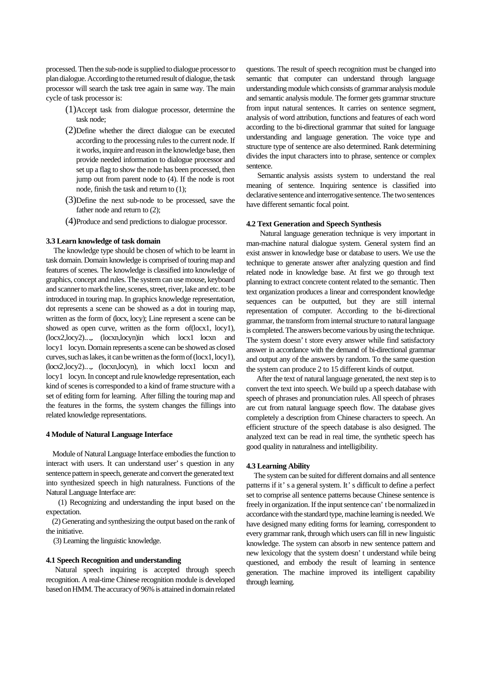processed. Then the sub-node is supplied to dialogue processor to plan dialogue. According to the returned result of dialogue, the task processor will search the task tree again in same way. The main cycle of task processor is:

- (1)Accept task from dialogue processor, determine the task node;
- (2)Define whether the direct dialogue can be executed according to the processing rules to the current node. If it works, inquire and reason in the knowledge base, then provide needed information to dialogue processor and set up a flag to show the node has been processed, then jump out from parent node to (4). If the node is root node, finish the task and return to (1);
- (3)Define the next sub-node to be processed, save the father node and return to  $(2)$ ;
- (4)Produce and send predictions to dialogue processor.

#### **3.3 Learn knowledge of task domain**

 The knowledge type should be chosen of which to be learnt in task domain. Domain knowledge is comprised of touring map and features of scenes. The knowledge is classified into knowledge of graphics, concept and rules. The system can use mouse, keyboard and scanner to mark the line, scenes, street, river, lake and etc. to be introduced in touring map. In graphics knowledge representation, dot represents a scene can be showed as a dot in touring map, written as the form of (locx, locy); Line represent a scene can be showed as open curve, written as the form of(locx1, locy1), (locx2,locy2).…, (locxn,locyn)in which locx1 locxn and locy1 locyn. Domain represents a scene can be showed as closed curves, such as lakes, it can be written as the form of (locx1, locy1), (locx2,locy2).…, (locxn,locyn), in which locx1 locxn and locy1 locyn. In concept and rule knowledge representation, each kind of scenes is corresponded to a kind of frame structure with a set of editing form for learning. After filling the touring map and the features in the forms, the system changes the fillings into related knowledge representations.

#### **4 Module of Natural Language Interface**

 Module of Natural Language Interface embodies the function to interact with users. It can understand user's question in any sentence pattern in speech, generate and convert the generated text into synthesized speech in high naturalness. Functions of the Natural Language Interface are:

 (1) Recognizing and understanding the input based on the expectation.

 (2) Generating and synthesizing the output based on the rank of the initiative.

(3) Learning the linguistic knowledge.

#### **4.1 Speech Recognition and understanding**

 Natural speech inquiring is accepted through speech recognition. A real-time Chinese recognition module is developed based on HMM. The accuracy of 96% is attained in domain related questions. The result of speech recognition must be changed into semantic that computer can understand through language understanding module which consists of grammar analysis module and semantic analysis module. The former gets grammar structure from input natural sentences. It carries on sentence segment, analysis of word attribution, functions and features of each word according to the bi-directional grammar that suited for language understanding and language generation. The voice type and structure type of sentence are also determined. Rank determining divides the input characters into to phrase, sentence or complex sentence.

 Semantic analysis assists system to understand the real meaning of sentence. Inquiring sentence is classified into declarative sentence and interrogative sentence. The two sentences have different semantic focal point.

## **4.2 Text Generation and Speech Synthesis**

 Natural language generation technique is very important in man-machine natural dialogue system. General system find an exist answer in knowledge base or database to users. We use the technique to generate answer after analyzing question and find related node in knowledge base. At first we go through text planning to extract concrete content related to the semantic. Then text organization produces a linear and correspondent knowledge sequences can be outputted, but they are still internal representation of computer. According to the bi-directional grammar, the transform from internal structure to natural language is completed. The answers become various by using the technique. The system doesn't store every answer while find satisfactory answer in accordance with the demand of bi-directional grammar and output any of the answers by random. To the same question the system can produce 2 to 15 different kinds of output.

 After the text of natural language generated, the next step is to convert the text into speech. We build up a speech database with speech of phrases and pronunciation rules. All speech of phrases are cut from natural language speech flow. The database gives completely a description from Chinese characters to speech. An efficient structure of the speech database is also designed. The analyzed text can be read in real time, the synthetic speech has good quality in naturalness and intelligibility.

#### **4.3 Learning Ability**

 The system can be suited for different domains and all sentence patterns if it's a general system. It's difficult to define a perfect set to comprise all sentence patterns because Chinese sentence is freely in organization. If the input sentence can't be normalized in accordance with the standard type, machine learning is needed. We have designed many editing forms for learning, correspondent to every grammar rank, through which users can fill in new linguistic knowledge. The system can absorb in new sentence pattern and new lexicology that the system doesn't understand while being questioned, and embody the result of learning in sentence generation. The machine improved its intelligent capability through learning.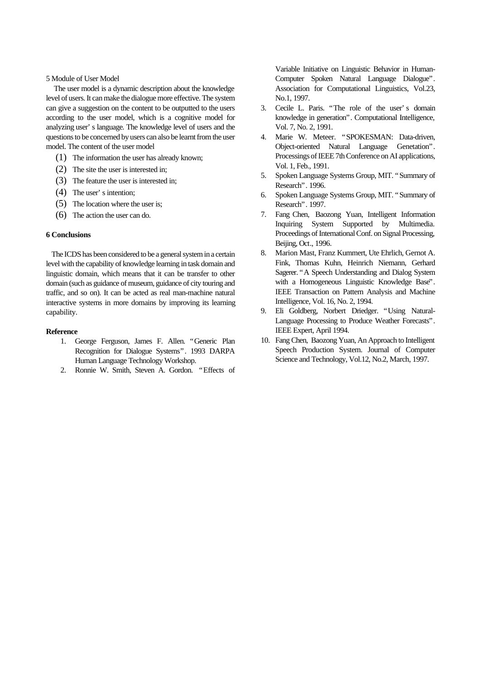#### 5 Module of User Model

 The user model is a dynamic description about the knowledge level of users. It can make the dialogue more effective. The system can give a suggestion on the content to be outputted to the users according to the user model, which is a cognitive model for analyzing user's language. The knowledge level of users and the questions to be concerned by users can also be learnt from the user model. The content of the user model

- (1) The information the user has already known;
- (2) The site the user is interested in;
- (3) The feature the user is interested in;
- (4) The user's intention;
- (5) The location where the user is;
- (6) The action the user can do.

#### **6 Conclusions**

 The ICDS has been considered to be a general system in a certain level with the capability of knowledge learning in task domain and linguistic domain, which means that it can be transfer to other domain (such as guidance of museum, guidance of city touring and traffic, and so on). It can be acted as real man-machine natural interactive systems in more domains by improving its learning capability.

#### **Reference**

- 1. George Ferguson, James F. Allen. "Generic Plan Recognition for Dialogue Systems". 1993 DARPA Human Language Technology Workshop.
- 2. Ronnie W. Smith, Steven A. Gordon. "Effects of

Variable Initiative on Linguistic Behavior in Human-Computer Spoken Natural Language Dialogue". Association for Computational Linguistics, Vol.23, No.1, 1997.

- 3. Cecile L. Paris. "The role of the user's domain knowledge in generation". Computational Intelligence, Vol. 7, No. 2, 1991.
- 4. Marie W. Meteer. "SPOKESMAN: Data-driven, Object-oriented Natural Language Genetation". Processings of IEEE 7th Conference on AI applications, Vol. 1, Feb., 1991.
- 5. Spoken Language Systems Group, MIT. "Summary of Research". 1996.
- 6. Spoken Language Systems Group, MIT. "Summary of Research". 1997.
- 7. Fang Chen, Baozong Yuan, Intelligent Information Inquiring System Supported by Multimedia. Proceedings of International Conf. on Signal Processing, Beijing, Oct., 1996.
- 8. Marion Mast, Franz Kummert, Ute Ehrlich, Gernot A. Fink, Thomas Kuhn, Heinrich Niemann, Gerhard Sagerer. "A Speech Understanding and Dialog System with a Homogeneous Linguistic Knowledge Base". IEEE Transaction on Pattern Analysis and Machine Intelligence, Vol. 16, No. 2, 1994.
- 9. Eli Goldberg, Norbert Driedger. "Using Natural-Language Processing to Produce Weather Forecasts". IEEE Expert, April 1994.
- 10. Fang Chen, Baozong Yuan, An Approach to Intelligent Speech Production System. Journal of Computer Science and Technology, Vol.12, No.2, March, 1997.